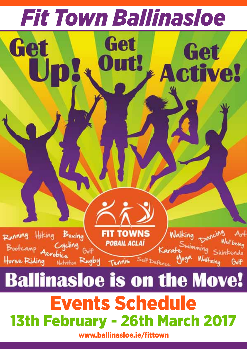

www.ballinasloe.ie/fittown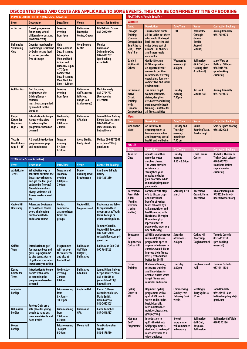## **ADULTS (Male/Female Specific )** Discounted Fees and costs are applicable to some events, this can be confirmed at time of booking

|                                                                  | DISCOUNTED FEES AND COSTS ARE APPLICABLE TO SUME                                                                                                                                                        |                                                                                                                                                                                                                   |                                                                                       |                                                                                                                                                                                                                         |
|------------------------------------------------------------------|---------------------------------------------------------------------------------------------------------------------------------------------------------------------------------------------------------|-------------------------------------------------------------------------------------------------------------------------------------------------------------------------------------------------------------------|---------------------------------------------------------------------------------------|-------------------------------------------------------------------------------------------------------------------------------------------------------------------------------------------------------------------------|
|                                                                  | PRIMARY SCHOOL CHILDREN (Afterschool Activities)                                                                                                                                                        |                                                                                                                                                                                                                   |                                                                                       |                                                                                                                                                                                                                         |
| <b>Event</b>                                                     | <b>Description</b>                                                                                                                                                                                      | Date/Time                                                                                                                                                                                                         | <b>Venue</b>                                                                          | <b>Contact for Booking</b>                                                                                                                                                                                              |
| <b>Art Action</b>                                                | 6 week programme<br>for primary school<br>children incorporating<br>physical activity                                                                                                                   | <b>Tuesday</b><br>evening<br>from 4pm                                                                                                                                                                             | <b>Ballinasloe</b><br><b>Enterprise</b><br>Centre, Creagh                             | Lily Kelly Art School<br>087-2042979                                                                                                                                                                                    |
| <b>Ballinasloe</b><br>Swimming<br>Club                           | Open for membership.<br>Swimming assessment<br>by Swim Ireland level<br>2 coaches provided<br>free of charge                                                                                            | Club<br><b>Development</b><br><b>Squad training</b><br>takes place<br><b>Mon and Wed</b><br>4-5pm and<br>Fridays 6.30pm<br>$-7.30$ pm.<br>Competitive<br><b>Squad training</b><br>Mon, Wed, Fri<br>$5pm - 6.30pm$ | <b>Coral Leisure</b><br>Centre                                                        | <b>Monica</b><br><b>Ballinasloe</b><br><b>Swimming Club</b><br>087-7432787<br>(pre booking<br>essential)                                                                                                                |
| <b>Golf for Kids</b>                                             | Golf for young<br>beginners @ the<br><b>Driving Range -</b><br>children<br>must be accompanied<br>by an adult for the<br>duration                                                                       | Tuesday<br>evening<br>from 7pm                                                                                                                                                                                    | <b>Ballinasloe</b><br><b>Golf Academy</b><br>& Driving<br>Range (old<br>Athlone road) | <b>Mark Conneely</b><br>087-2724777<br>(Pre-booking<br>essential)                                                                                                                                                       |
| Kenpo<br><b>Karate for</b><br><b>Beginners</b><br>$(aqe 5 - 10)$ | <b>Introduction to Kenpo</b><br>Karate with a view<br>to extending the<br>programme based on<br>demand                                                                                                  | Wednesday<br>evening<br>6.00 <sub>pm</sub><br>7.00pm                                                                                                                                                              | <b>Ballinasloe</b><br><b>GAA Club</b>                                                 | James Dillon, Galway<br><b>Kenpo Karate School</b><br>087-6436615 or<br>iamesdillon123@<br>hotmail.com                                                                                                                  |
| Yoga &<br><b>Mindfulness</b><br>$(aqe 8 - 15)$                   | A 6 week introduction<br>programme in yoga<br>and mindfulness                                                                                                                                           | <b>Tuesday</b><br>evening<br>$5.45$ pm $-$<br>6.30pm                                                                                                                                                              | Aloha Studio,<br><b>Croffys Yard</b>                                                  | Melissa 086-3370365<br>or m.dolan1982@<br>qmail.com                                                                                                                                                                     |
|                                                                  | <b>TEENS (After School Activities)</b>                                                                                                                                                                  |                                                                                                                                                                                                                   |                                                                                       |                                                                                                                                                                                                                         |
| <b>Event</b>                                                     | <b>Description</b>                                                                                                                                                                                      | <b>Date/Time</b>                                                                                                                                                                                                  | <b>Venue</b>                                                                          | <b>Contact for Booking</b>                                                                                                                                                                                              |
| <b>Athletics for</b><br><b>Teens</b>                             | What better way to<br>take time out from the<br>busy study schedules<br>and get the feel good<br>endorphins flowing?<br><b>New club members</b><br>always welcome -all<br>fitness levels catered<br>for | <b>Tuesday and</b><br><b>Thursday</b><br>evening<br>$6.00$ pm $-$<br>7.00pm                                                                                                                                       | <b>Dunlo</b><br><b>Running Track,</b><br><b>Brackernagh</b>                           | Ann Burke & Paula<br><b>Harley</b><br>086-1261230                                                                                                                                                                       |
| <b>Cuckoo Hill</b><br><b>Bootcamp</b>                            | <b>Adventure Bootcamp</b><br>to boost teen fitness<br>over a challenging<br>outdoor obstacle/<br>endurance course                                                                                       | Contact<br><b>Tommie to</b><br>arrange dates/<br>times for<br><b>aroups</b>                                                                                                                                       | Cuckoo Hill,<br><b>Taughmaconnell</b>                                                 | Bootcamps available<br>to organised teen<br>groups such as Youth<br>Clubs, Foroige or<br>other sporting clubs.<br>Tommie Costello,<br><b>Cuckoo Hill Bootcamp</b><br>087-6411530 or<br>cuckoohillbootcamp@<br>qmail.com |
| Golf for<br><b>Teens</b>                                         | Introduction to golf<br>for teenage boys and<br>girls - a programme<br>to give teens a taste<br>of golf which includes<br>introductory coaching                                                         | <b>Programmes</b><br>will run over<br>the mid-term<br>and also at<br><b>Easter Break</b>                                                                                                                          | <b>Ballinasloe</b><br>Golf Club,<br>Rosgloss,<br><b>Ballinasloe</b>                   | <b>Ballinasloe Golf Club</b><br>090 9642126                                                                                                                                                                             |
| Kenpo<br><b>Karate for</b><br><b>Teens</b>                       | <b>Introduction to Kenpo</b><br>Karate with a view<br>to extending the<br>programme based on<br>demand                                                                                                  | Wednesday<br>evening<br>$7.00pm -$<br>8.00pm                                                                                                                                                                      | <b>Ballinasloe</b><br><b>GAA Club</b>                                                 | James Dillon, Galway<br>Kenpo Karate School<br>087-6436615 or<br>iamesdillon123@<br>hotmail.com                                                                                                                         |
| Aughrim<br><b>Foróige</b>                                        | Foróige Clubs are a                                                                                                                                                                                     | <b>Friday evening</b><br>from<br>$8.45$ pm $-$<br>10.15pm                                                                                                                                                         | <b>Aughrim Hall</b>                                                                   | Kieran Colleran,<br>Catherine Colleran,<br>Marie Smith,<br>Ciara Costello<br>086-2657805                                                                                                                                |
|                                                                  |                                                                                                                                                                                                         |                                                                                                                                                                                                                   | <b>Ballinasloe</b>                                                                    | Karen Campbell                                                                                                                                                                                                          |
| <b>Ballinasloe</b><br>Foróige                                    | safe place for young<br>people to hang out,<br>meet new friends and<br>have a voice                                                                                                                     | <b>Friday evening</b><br>from<br>$7.00pm -$<br>8.30pm                                                                                                                                                             | GAA                                                                                   | 087-7648587                                                                                                                                                                                                             |

| king                                                 | <b>Women</b>                                                                                                |                                                                                                                                                                                                                                                                                         |                                                                                        |                                                                                          |                                                                                                                                                |  |  |  |  |
|------------------------------------------------------|-------------------------------------------------------------------------------------------------------------|-----------------------------------------------------------------------------------------------------------------------------------------------------------------------------------------------------------------------------------------------------------------------------------------|----------------------------------------------------------------------------------------|------------------------------------------------------------------------------------------|------------------------------------------------------------------------------------------------------------------------------------------------|--|--|--|--|
| hool                                                 | <b>Event</b>                                                                                                | <b>Description</b>                                                                                                                                                                                                                                                                      | Date/Time                                                                              | <b>Venue</b>                                                                             | <b>Contact for Booking</b>                                                                                                                     |  |  |  |  |
|                                                      | Camogie<br><b>Training</b><br>(Cumann<br>Camógaíochta<br><b>Beal Athana</b><br>$Slua) - from$<br>Age $15 +$ | This is a shout out to<br>all the ladies out there<br>who would like to get<br>back into exercise and<br>enjoy being part of<br>a Team - all abilities<br>and fitness levels<br>catered for                                                                                             | <b>TBD</b>                                                                             | <b>Ballinasloe</b><br>Camogie<br><b>Grounds</b><br>(beside<br><b>Ardscoil</b><br>Mhuire) | <b>Aisling Brannelly</b><br>085-7539176                                                                                                        |  |  |  |  |
|                                                      | Gaelic 4<br><b>Mothers &amp;</b><br><b>Others</b>                                                           | <b>Gaelic 4 Mothers</b><br>& Others provides<br>an opportunity for<br>women to get their<br>recommended weekly<br>exercise in a fun, non-<br>competitive and social<br>environment                                                                                                      | Wednesday<br>evenings@<br>8.00pm                                                       | <b>Ballinasloe</b><br><b>GAA Club (new</b><br>training pitch<br>& ball wall)             | <b>Mark Ward or</b><br><b>Kathryn Gibbons</b><br>086 3015746<br>(pre-booking<br>essential)                                                     |  |  |  |  |
|                                                      | <b>Get Women</b><br>Active -<br><b>Circuit</b><br><b>Training</b><br>with<br>Cumann<br>Camógaíochta         | The aim is to get<br>women (mothers,<br>sisters, daughters<br>etc) active and taking<br>part in weekly circuit<br>training - suitable for<br>all fitness abilities                                                                                                                      | <b>Tuesday</b><br>evening<br>7.30pm                                                    | <b>Ard Scoil</b><br><b>Mhuire Hall</b>                                                   | <b>Aisling Brannelly</b><br>085-7539176                                                                                                        |  |  |  |  |
| alway<br>chool                                       | Men<br><b>Event</b>                                                                                         |                                                                                                                                                                                                                                                                                         |                                                                                        |                                                                                          |                                                                                                                                                |  |  |  |  |
| (a)<br>70365<br>)@                                   | Men on the<br><b>Move</b>                                                                                   | <b>Description</b><br>An initiative to<br>encourage men to<br>become more active<br>and improving overall<br>health and wellbeing                                                                                                                                                       | Date/Time<br><b>Tuesday and</b><br><b>Thursday</b><br>evenings<br>meeting @<br>7.30 pm | <b>Venue</b><br><b>Dunlo</b><br><b>Running Track,</b><br><b>Brackernagh</b>              | <b>Contact for Booking</b><br><b>Shirley Hynes Keating</b><br>086-8529084                                                                      |  |  |  |  |
|                                                      | <b>ADULTS</b>                                                                                               |                                                                                                                                                                                                                                                                                         |                                                                                        |                                                                                          |                                                                                                                                                |  |  |  |  |
| king<br>ula.                                         | <b>Event</b><br>Agua Fit<br>Class                                                                           | <b>Description</b><br>Aquafit is another<br>name for water<br>aerobics classes.<br>The water provides<br>resistance to<br>strengthen your<br>muscles and raise<br>your heart rate while<br>minimizing impact on<br>your joints                                                          | Date/Time<br><b>Tuesday</b><br>evening<br>$8.15 - 9.00$ pm                             | Venue<br><b>Coral Leisure</b><br>Centre                                                  | <b>Contact for Booking</b><br>Rochelle, Therese or<br>Trish @ Coral Leisure<br>090 9645755<br>(numbers limited<br>so pre booking<br>essential) |  |  |  |  |
| ilable<br>en<br>Youth<br>)r<br>clubs.<br>0,<br>tcamp | <b>Beechlawn</b><br><b>Farm Walk</b><br>& Talk<br>(Families<br>welcome<br>bring<br>wellies)                 | Farm tour with stop<br>offs to discuss crops<br>and nutritional<br>benefits of various<br>foods followed by a<br>talk on nutrition and<br>healthy eating with<br><b>Nutritional Therapist</b><br><b>Honor Geraghty</b><br>(special offers to<br>people who order veg<br>box on the day) | Saturday 11th<br>March                                                                 | <b>Beechlawn</b><br>Organic Farm,<br><b>Beechlawn</b>                                    | Una or Padraig 087-<br>9458528 or info@<br>beechlawnfarm.org                                                                                   |  |  |  |  |
| amp@<br>f Club                                       | <b>Bootcamp</b><br>for<br>Beginners @<br><b>Cuckoo Hill</b>                                                 | A FREE 6 week outdoor<br>(no muck!) fitness<br>programme open to<br>anyone who is new to<br>exercise, would like to<br>improve their fitness<br>levels, feel and look<br>better for 2017!                                                                                               | Saturday<br>afternoons<br>2.00 <sub>pm</sub>                                           | <b>Cuckoo Hill</b><br>Bootcamp,<br><b>Taughmaconnell</b>                                 | <b>Tommie Costello</b><br>087-6411530<br>(pre-booking<br>essential)                                                                            |  |  |  |  |
| alway<br>chool<br>¦@                                 | Circuit<br><b>Training</b>                                                                                  | Body conditioning,<br>resistance training<br>and high-intensity<br>aerobics classes which<br>target fitness and<br>muscular endurance                                                                                                                                                   | Thursday<br>8.00pm                                                                     | <b>Taughmaconnell</b><br>Hall                                                            | <b>Tommie Costello</b><br>087-6411530                                                                                                          |  |  |  |  |
| ran,<br>L                                            | Cycling<br>Couch to<br>50k                                                                                  | <b>Beginners cycling</b><br>programme with a<br>goal of 50k over 6<br>weeks and includes<br>basic bike skills,<br>bike maintenance,<br>nutrition, hydration,<br>group cycling                                                                                                           | Commencing<br>Sunday 19th<br>February for 6<br>weeks                                   | Meeting @<br>Barry Cycles @<br>10 am                                                     | <b>John Donnelly</b><br>089-2391513 or<br>ballinasloecydingdub@<br>qmail.com                                                                   |  |  |  |  |
| er                                                   | 'Get into<br>Golf'<br>Programme                                                                             | Introduction to<br>golf - the Get into<br>Golf programme is<br>designed to make golf<br>more accessible to a<br>wider audience                                                                                                                                                          | 6 week<br>programme<br>will commence<br>in February                                    | <b>Ballinasloe</b><br>Golf Club,<br>Rosgloss,<br><b>Ballinasloe</b>                      | <b>Ballinasloe Golf Club</b><br>09096 42126                                                                                                    |  |  |  |  |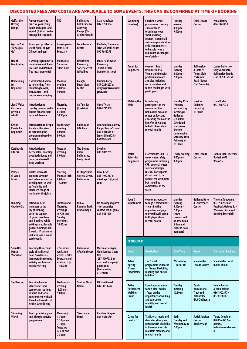## DISCOUNTED FEES AND COSTS ARE APPLICABLE TO SOME EVENTS, THIS CAN BE CONFIRMED AT TIME OF BOOKING

| Golf at the<br><b>Driving</b><br>Range                              | An opportunity to<br>practice your swing<br>again and again and<br>again! (Tuition can be<br>arranged if required)                                                                                                | <b>TBD</b>                                                                                      | <b>Ballinasloe</b><br><b>Golf Academy</b><br>& Drivina<br>Range (Old<br><b>Athlone Road)</b> | <b>Alan Naughton</b><br>087-9750364                                                               | Swimming<br>(Masters)                           | Coached 6 week<br>programme covering<br>2 main stroke<br>techniques over<br>short and long<br>courses - open to all<br>swimming capabilities<br>only requirement is<br>to be able swim a<br>minimum of 2 lengths<br>comfortably | <b>Tuesday</b><br>evening<br>8.00 <sub>pm</sub><br>9.00pm                                                                                                                      | <b>Coral Leisure</b><br>Centre                                                                 | Paula Harley<br>086-1261230                                                                                          |
|---------------------------------------------------------------------|-------------------------------------------------------------------------------------------------------------------------------------------------------------------------------------------------------------------|-------------------------------------------------------------------------------------------------|----------------------------------------------------------------------------------------------|---------------------------------------------------------------------------------------------------|-------------------------------------------------|---------------------------------------------------------------------------------------------------------------------------------------------------------------------------------------------------------------------------------|--------------------------------------------------------------------------------------------------------------------------------------------------------------------------------|------------------------------------------------------------------------------------------------|----------------------------------------------------------------------------------------------------------------------|
| <b>Gym or Pool</b><br>'Pay as you<br>Go'                            | Pay as you go offer to<br>use the pool or gym<br>OR pool and gym                                                                                                                                                  | 6 week period<br>from 13th<br>February                                                          | <b>Coral Leisure</b><br>Centre                                                               | Rochelle, Therese or<br>Trish @ Coral Leisure<br>090 9645755                                      |                                                 |                                                                                                                                                                                                                                 |                                                                                                                                                                                |                                                                                                |                                                                                                                      |
| <b>Health</b><br><b>Monitoring</b>                                  | 6 week programme to<br>monitor weight, blood<br>pressure and BMI (20<br>free measurements)                                                                                                                        | <b>Monday to</b><br>Saturdav<br>10am-6pm                                                        | <b>Healthwise</b><br>Pharmacy,<br><b>Society Street</b><br>& Poolboy                         | lan @ Healthwise<br>Pharmacy<br>09096 42148<br>(register in store)                                | <b>Tennis for</b><br><b>Beginners</b>           | 6 week (1 hour)<br>introduction to<br>Tennis training with<br>professional coach<br>and also including<br>social matches and<br>tennis challenges with<br>participants                                                          | <b>Monday</b><br>evening<br>$6.00$ pm $-$                                                                                                                                      | <b>Ballinasloe</b><br>& District<br>Tennis Club.                                               | <b>Louise Doherty or</b><br>Gary Zancanaro,<br><b>Ballinasloe Tennis</b>                                             |
| <b>Horseriding</b><br>for<br><b>Beginners</b>                       | 6 week introduction<br>to horseriding from<br>mounting to walk,<br>trot, canter - and<br>maybe even jumping!                                                                                                      | Monday<br>evening<br>8.00 <sub>pm</sub><br>9.00pm                                               | Creagh<br>Equestrian<br><b>Centre</b>                                                        | <b>Damien Carey</b><br>087-2254227 or<br>dreaghequestriancentre@<br>gmail.com                     |                                                 |                                                                                                                                                                                                                                 | 7.00pm                                                                                                                                                                         | Portumna<br><b>Road (Rugby</b><br><b>Club Grounds)</b>                                         | Club 087-1353751                                                                                                     |
| Jive& Waltz<br>Classes-<br>give it a<br>whirl!                      | Introduction to<br>country jive and waltz<br>classes for a workout<br>with a difference                                                                                                                           | <b>Thursday</b><br>evening<br>8.30 <sub>pm</sub><br>10.30pm                                     | An Tain Bar<br>(Upstairs)                                                                    | <b>Gerry Tynan</b><br>087-7745909                                                                 | <b>Walking the</b><br>Walk                      | Introducing<br>participants to the<br>wonders of the<br><b>Ballinasloe area and</b><br>routes on foot and<br>educating them on the<br>benefits of walking<br>to both physical and<br>mental health                              | Monday 13th<br>February<br>Introductory<br>meeting in<br><b>Gullanes</b><br>@8.00pm.<br><b>Scheduled</b><br>walks over<br>6 weeks<br>commencina<br>Saturday 18th<br>February @ | Meet in<br>Gullanes<br>carpark @<br>10.30am                                                    | <b>Liam Roche</b><br>087-2287076                                                                                     |
| Kenpo<br><b>Karate for</b><br><b>Beginners</b>                      | Introduction to Kenpo<br>Karate with a view<br>to extending the<br>programme based on<br>demand                                                                                                                   | Wednesday<br>evening<br>$8.00$ pm $-$<br>9.00pm                                                 | <b>Ballinasloe</b><br><b>GAA Club</b>                                                        | James Dillon, Galway<br>Kenpo Karate School<br>087-6436615 or<br>iamesdillon123@<br>hotmail.com   |                                                 |                                                                                                                                                                                                                                 |                                                                                                                                                                                |                                                                                                |                                                                                                                      |
| <b>Kettlebells</b><br><b>Fitness</b>                                | Introduction to<br>Kettlebells - learning<br>good techniques and<br>get a great overall<br>body workout                                                                                                           | <b>Tuesday</b><br>evening<br>8.00pm                                                             | <b>The Engine</b><br>Room<br>Ballinasloe,<br><b>Croffys Yard</b>                             | <b>Stephen</b><br>086-6039235                                                                     | <b>Water</b><br>Safety for<br><b>Beginners</b>  | Essential life skill – 6<br>week water safety<br>programme including<br>CPR, personal water                                                                                                                                     | 10.30am<br><b>Friday evening</b><br>8.00 <sub>pm</sub><br>9.00pm                                                                                                               | <b>Coral Leisure</b><br>Centre                                                                 | John Jordan, Therese/<br>Rochelle 090<br>9645755                                                                     |
| <b>Pilates</b><br>(3 week<br>Intro)                                 | <b>Pilates workouts</b><br>promote strength<br>and balanced muscle<br>development as well<br>as flexibility and<br>increased range of<br>motion for the joints                                                    | <b>Starting</b><br>Monday 13th<br>6.00 <sub>pm</sub><br>$-7.00pm$                               | In Step Studio,<br><b>Society Street,</b><br><b>Ballinasloe</b>                              | <b>Olive Keyes</b><br>083-1967217 or<br>olivekeyes1@qmail.<br>com                                 |                                                 | safety and simple<br>rescue. Participants<br>do not need to be<br>competent swimmers<br>but should be<br>comfortable in the<br>water                                                                                            |                                                                                                                                                                                |                                                                                                |                                                                                                                      |
| Running<br>Couch to 5k                                              | Introduce new<br>members to the<br>joy of running<br>with the support<br>of group members<br>and 'buddies' while<br>setting an achievable<br>goal of running 5k in<br>6 weeks. Programme<br>includes road run and | <b>Tuesday and</b><br><b>Thursdav</b><br>evenings<br>@7.45 and<br>Sunday<br>mornings<br>10.00am | Dunlo<br><b>Running Track,</b><br><b>Brackernagh</b>                                         | No booking required<br>– for enquiries<br>contact John Egan @<br>087-9611695                      | Yoga &<br><b>Mindfulness</b>                    | 6 week introduction<br>to Yoga & Mindfulness<br>– learning the<br>importance of yoga<br>to overall well-being<br>both physical and<br>mental health                                                                             | Monday<br>evening<br>6.30 <sub>pm</sub><br>7.30pm<br>(extra<br>sessions will<br>be scheduled<br>if demand<br>exceeds class<br>numbers)                                         | <b>Gullanes Hotel</b><br>& Conference<br>Centre                                                | Theresa Donoghue,<br>087-7862329 or<br>Facebook Galway Bay<br><b>Wellness (Advanced</b><br><b>Booking Essential)</b> |
|                                                                     | cardio work                                                                                                                                                                                                       |                                                                                                 |                                                                                              |                                                                                                   | <b>OLDER ADULTS</b>                             |                                                                                                                                                                                                                                 |                                                                                                                                                                                |                                                                                                |                                                                                                                      |
| Sean Nós<br>Dance<br>Workshop                                       | Learning the art and<br>style of traditional<br>Sean Nós dance -                                                                                                                                                  | 2 Saturday<br>workshop<br>events - 18th                                                         | <b>Ballinasloe</b><br><b>GAA Clubhouse</b>                                                   | Martina Flanagan,<br>Club Damhsa Sean<br>Nós                                                      | <b>Event</b>                                    | <b>Description</b>                                                                                                                                                                                                              | Date/Time                                                                                                                                                                      | <b>Venue</b>                                                                                   | <b>Contact for Booking</b>                                                                                           |
| incorporating physical<br>activity in a fun and<br>sociable setting | <b>February and</b><br>4th March @<br>11.00am                                                                                                                                                                     | 087-9007036 or<br>martinaflanagan@<br>qmail.com<br>(Pre-booking<br>essential)                   | Active<br>Ageing<br><b>Fitness</b><br>Programme                                              | The 6 week<br>programme will focus<br>on fitness, flexibility,<br>mobility and muscle<br>building | Wednesday<br>(Times TBD)                        | <b>Shearwater</b><br><b>Leisure Centre</b>                                                                                                                                                                                      | <b>Shearwater Hotel</b><br>09096 30400                                                                                                                                         |                                                                                                |                                                                                                                      |
| <b>Set Dancing</b>                                                  | Learning how to<br>'dance a set' and<br>some other routines<br>in a fun and social<br>environment with all<br>the added benefits of<br>health & wellbeing                                                         | Wednesday<br>evening<br>$8.00$ pm $-$<br>9.00pm                                                 | Scoil an Chroi<br>Naofa                                                                      | <b>Michael Cusack</b><br>087-4114749                                                              | Active<br><b>Retirement</b><br>Walking<br>Group | Exercise programme<br>to suit older adults<br>- focus on the<br>importance of walking<br>and exercise to<br>mobility and overall<br>health                                                                                      | Tuesday<br>morning<br>10.30am                                                                                                                                                  | <b>Dunlo</b><br>Recreational<br><b>Track and</b><br><b>Ballinasloe</b><br><b>GAA Clubhouse</b> | <b>Noelle Rohan</b><br>& John Boland<br>086 1902377 /<br>087 6168117                                                 |
| Slimming<br>World                                                   | Food optimising plan<br>and lifestyle activity<br>programme                                                                                                                                                       | Monday @<br>$3.30pm$ ,<br>5.30pm and<br>7.30pm<br><b>Tuesdays</b><br>@9.30 and<br>7.30pm        | <b>Shearwater</b><br>Hotel                                                                   | <b>Caroline Higgins</b><br>087-9650580                                                            | <b>Dance for</b><br><b>Health</b>               | <b>Traditional music and</b><br>dance for elderly and<br>persons with disability<br>in the community to<br>maintain mobility and<br>mental health                                                                               | Each<br><b>Tuesday and</b><br>Wednesday at<br>2.00 <sub>pm</sub>                                                                                                               | <b>Social Services</b><br>Centre,<br><b>Brackernagh</b>                                        | <b>Teresa Coughlan</b><br>09096-43217 or<br>admin@<br>balinasloesocialservices.<br>ie                                |